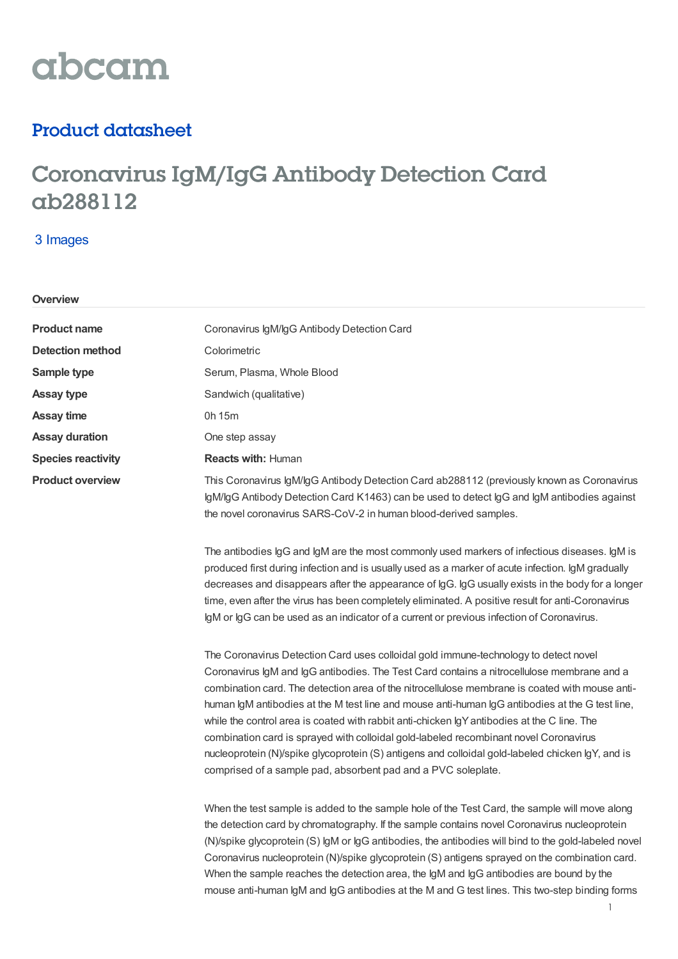# abcam

### Product datasheet

## Coronavirus IgM/IgG Antibody Detection Card ab288112

#### 3 Images

**Overview**

| <b>Product name</b>       | Coronavirus IgM/IgG Antibody Detection Card                                                                               |  |
|---------------------------|---------------------------------------------------------------------------------------------------------------------------|--|
| <b>Detection method</b>   | Colorimetric                                                                                                              |  |
| Sample type               | Serum, Plasma, Whole Blood                                                                                                |  |
| <b>Assay type</b>         | Sandwich (qualitative)                                                                                                    |  |
| <b>Assay time</b>         | 0h 15m                                                                                                                    |  |
| <b>Assay duration</b>     | One step assay                                                                                                            |  |
| <b>Species reactivity</b> | <b>Reacts with: Human</b>                                                                                                 |  |
| <b>Product overview</b>   | This Coronavirus IgM/IgG Antibody Detection Card ab2881<br>$\alpha$ M/aC Aptibody Detection Card K1483) can be used to de |  |

**12 (previously known as Coronavirus** IgM/IgG Antibody Detection Card K1463) can be used to detect IgG and IgM antibodies against the novel coronavirus SARS-CoV-2 in human blood-derived samples.

The antibodies IgG and IgM are the most commonly used markers of infectious diseases. IgM is produced first during infection and is usually used as a marker of acute infection. IgM gradually decreases and disappears after the appearance of IgG. IgG usually exists in the body for a longer time, even after the virus has been completely eliminated. A positive result for anti-Coronavirus IgM or IgG can be used as an indicator of a current or previous infection of Coronavirus.

The Coronavirus Detection Card uses colloidal gold immune-technology to detect novel Coronavirus IgM and IgG antibodies. The Test Card contains a nitrocellulose membrane and a combination card. The detection area of the nitrocellulose membrane is coated with mouse antihuman IgM antibodies at the M test line and mouse anti-human IgG antibodies at the G test line, while the control area is coated with rabbit anti-chicken IgY antibodies at the C line. The combination card is sprayed with colloidal gold-labeled recombinant novel Coronavirus nucleoprotein (N)/spike glycoprotein (S) antigens and colloidal gold-labeled chicken IgY, and is comprised of a sample pad, absorbent pad and a PVC soleplate.

When the test sample is added to the sample hole of the Test Card, the sample will move along the detection card by chromatography. If the sample contains novel Coronavirus nucleoprotein (N)/spike glycoprotein (S) IgM or IgG antibodies, the antibodies will bind to the gold-labeled novel Coronavirus nucleoprotein (N)/spike glycoprotein (S) antigens sprayed on the combination card. When the sample reaches the detection area, the IgM and IgG antibodies are bound by the mouse anti-human IgM and IgG antibodies at the M and G test lines. This two-step binding forms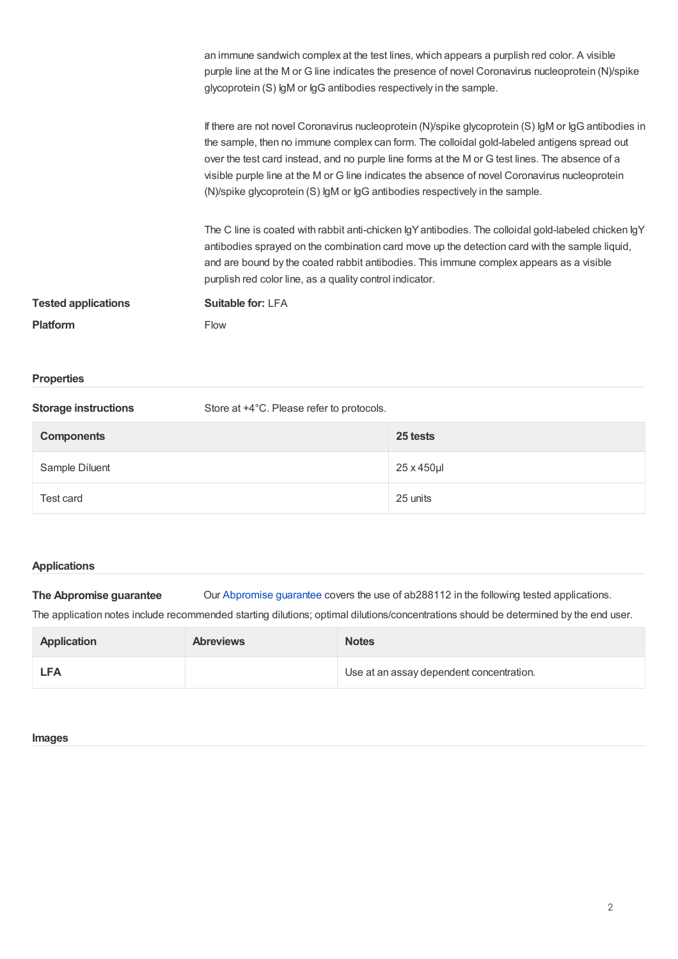|                            | an immune sandwich complex at the test lines, which appears a purplish red color. A visible<br>purple line at the M or G line indicates the presence of novel Coronavirus nucleoprotein (N)/spike<br>glycoprotein (S) lgM or lgG antibodies respectively in the sample.                                                                                                                                                                                                                   |
|----------------------------|-------------------------------------------------------------------------------------------------------------------------------------------------------------------------------------------------------------------------------------------------------------------------------------------------------------------------------------------------------------------------------------------------------------------------------------------------------------------------------------------|
|                            | If there are not novel Coronavirus nucleoprotein (N)/spike glycoprotein (S) IgM or IgG antibodies in<br>the sample, then no immune complex can form. The colloidal gold-labeled antigens spread out<br>over the test card instead, and no purple line forms at the M or G test lines. The absence of a<br>visible purple line at the M or G line indicates the absence of novel Coronavirus nucleoprotein<br>(N)/spike glycoprotein (S) lgM or lgG antibodies respectively in the sample. |
|                            | The C line is coated with rabbit anti-chicken IgY antibodies. The colloidal gold-labeled chicken IgY<br>antibodies sprayed on the combination card move up the detection card with the sample liquid,<br>and are bound by the coated rabbit antibodies. This immune complex appears as a visible<br>purplish red color line, as a quality control indicator.                                                                                                                              |
| <b>Tested applications</b> | Suitable for: LFA                                                                                                                                                                                                                                                                                                                                                                                                                                                                         |
| <b>Platform</b>            | <b>Flow</b>                                                                                                                                                                                                                                                                                                                                                                                                                                                                               |
| <b>Properties</b>          |                                                                                                                                                                                                                                                                                                                                                                                                                                                                                           |

| <b>Storage instructions</b> | Store at +4°C. Please refer to protocols. |            |  |
|-----------------------------|-------------------------------------------|------------|--|
| <b>Components</b>           |                                           | 25 tests   |  |
| Sample Diluent              |                                           | 25 x 450µl |  |
| Test card                   |                                           | 25 units   |  |

#### **Applications**

**The Abpromise guarantee** Our [Abpromise](https://www.abcam.com/abpromise) guarantee covers the use of ab288112 in the following tested applications. The application notes include recommended starting dilutions; optimal dilutions/concentrations should be determined by the end user.

| <b>Application</b> | <b>Abreviews</b> | <b>Notes</b>                             |
|--------------------|------------------|------------------------------------------|
| <b>LFA</b>         |                  | Use at an assay dependent concentration. |

#### **Images**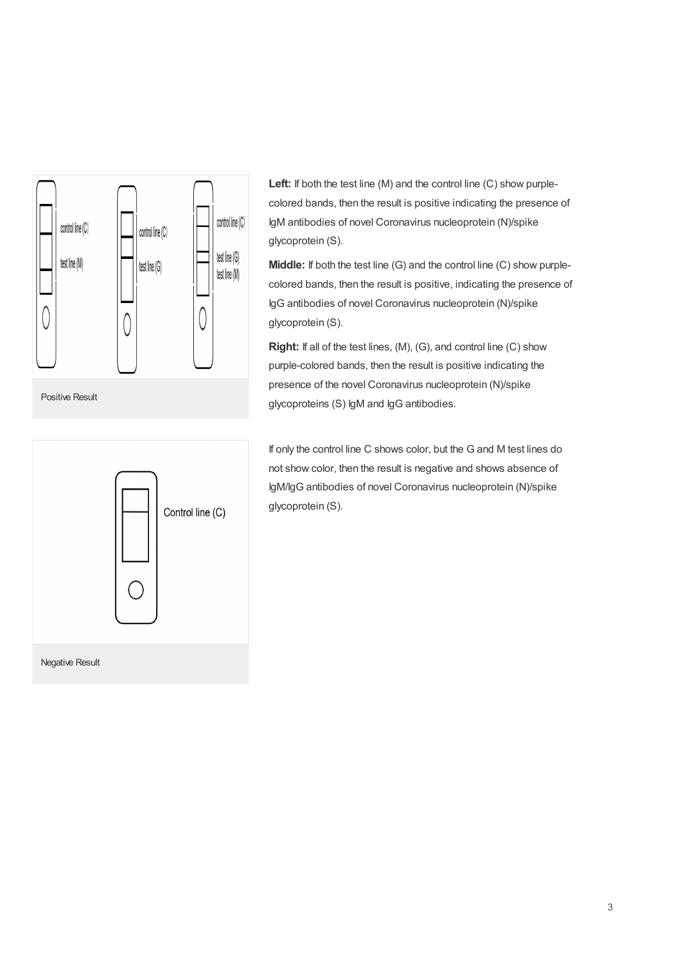

Positive Result



Left: If both the test line (M) and the control line (C) show purplecolored bands, then the result is positive indicating the presence of IgM antibodies of novel Coronavirus nucleoprotein (N)/spike glycoprotein (S).

**Middle:** If both the test line (G) and the control line (C) show purplecolored bands, then the result is positive, indicating the presence of IgG antibodies of novel Coronavirus nucleoprotein (N)/spike glycoprotein (S).

**Right:** If all of the test lines, (M), (G), and control line (C) show purple-colored bands, then the result is positive indicating the presence of the novel Coronavirus nucleoprotein (N)/spike glycoproteins (S) IgM and IgG antibodies.

If only the control line C shows color, but the G and M test lines do not show color, then the result is negative and shows absence of IgM/IgG antibodies of novel Coronavirus nucleoprotein (N)/spike glycoprotein (S).